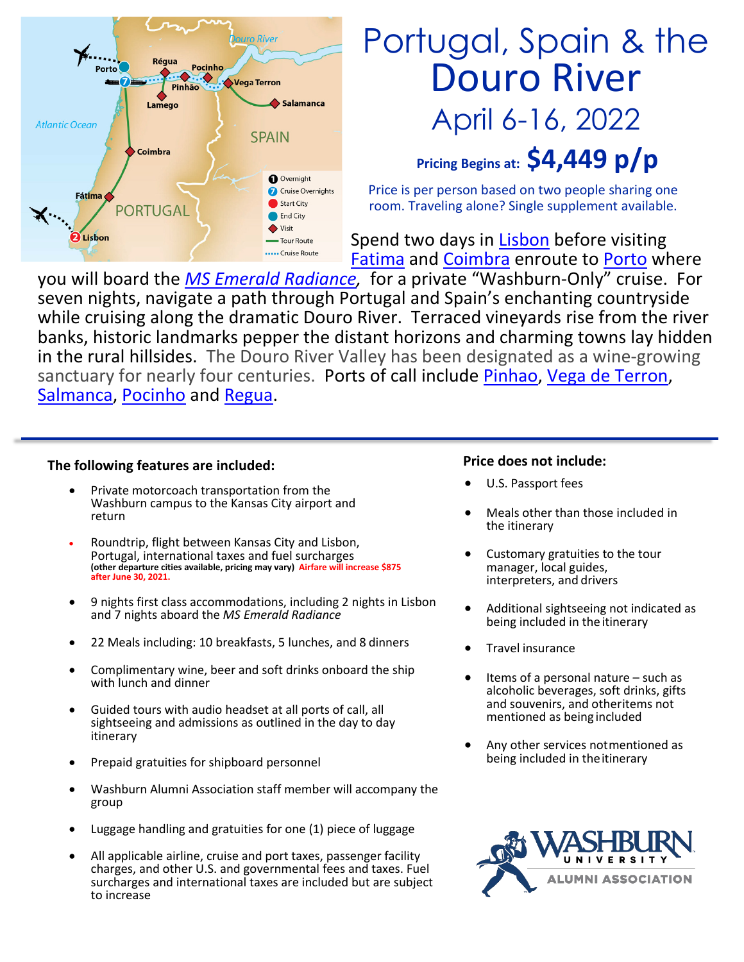

# Portugal, Spain & the Douro River April 6-16, 2022

**Pricing Begins at: \$4,449 p/p**

Price is per person based on two people sharing one room. Traveling alone? Single supplement available.

Spend two days in [Lisbon](https://en.wikipedia.org/wiki/Lisbon) before visiting [Fatima](https://en.wikipedia.org/wiki/F%C3%A1tima,_Portugal) and [Coimbra](https://en.wikipedia.org/wiki/Coimbra) enroute to [Porto](https://en.wikipedia.org/wiki/Porto) where

you will board the *[MS Emerald Radiance,](https://www.youtube.com/watch?v=j-RBPSFHHyk&t=17s)* for a private "Washburn-Only" cruise. For seven nights, navigate a path through Portugal and Spain's enchanting countryside while cruising along the dramatic Douro River. Terraced vineyards rise from the river banks, historic landmarks pepper the distant horizons and charming towns lay hidden in the rural hillsides. The Douro River Valley has been designated as a wine-growing sanctuary for nearly four centuries. Ports of call include [Pinhao,](https://www.portugalist.com/places/pinhao/) [Vega de Terron,](https://www.cruisecritic.com/cruiseto/cruiseitineraries.cfm?portofcall=6862) [Salmanca,](https://en.wikipedia.org/wiki/Salamanca) [Pocinho](https://en.wikipedia.org/wiki/Pocinho) and [Regua.](https://en.wikipedia.org/wiki/Peso_da_R%C3%A9gua)

### **The following features are included:**

- Private motorcoach transportation from the Washburn campus to the Kansas City airport and return
- Roundtrip, flight between Kansas City and Lisbon, Portugal, international taxes and fuel surcharges **(other departure cities available, pricing may vary) Airfare will increase \$875 after June 30, 2021.**
- 9 nights first class accommodations, including 2 nights in Lisbon and 7 nights aboard the *MS Emerald Radiance*
- 22 Meals including: 10 breakfasts, 5 lunches, and 8 dinners
- Complimentary wine, beer and soft drinks onboard the ship with lunch and dinner
- Guided tours with audio headset at all ports of call, all sightseeing and admissions as outlined in the day to day itinerary
- Prepaid gratuities for shipboard personnel
- Washburn Alumni Association staff member will accompany the group
- Luggage handling and gratuities for one (1) piece of luggage
- All applicable airline, cruise and port taxes, passenger facility charges, and other U.S. and governmental fees and taxes. Fuel surcharges and international taxes are included but are subject to increase

### **Price does not include:**

- U.S. Passport fees
- Meals other than those included in the itinerary
- Customary gratuities to the tour manager, local guides, interpreters, and drivers
- Additional sightseeing not indicated as being included in the itinerary
- Travel insurance
- Items of a personal nature  $-$  such as alcoholic beverages, soft drinks, gifts and souvenirs, and otheritems not mentioned as being included
- Any other services notmentioned as being included in the itinerary

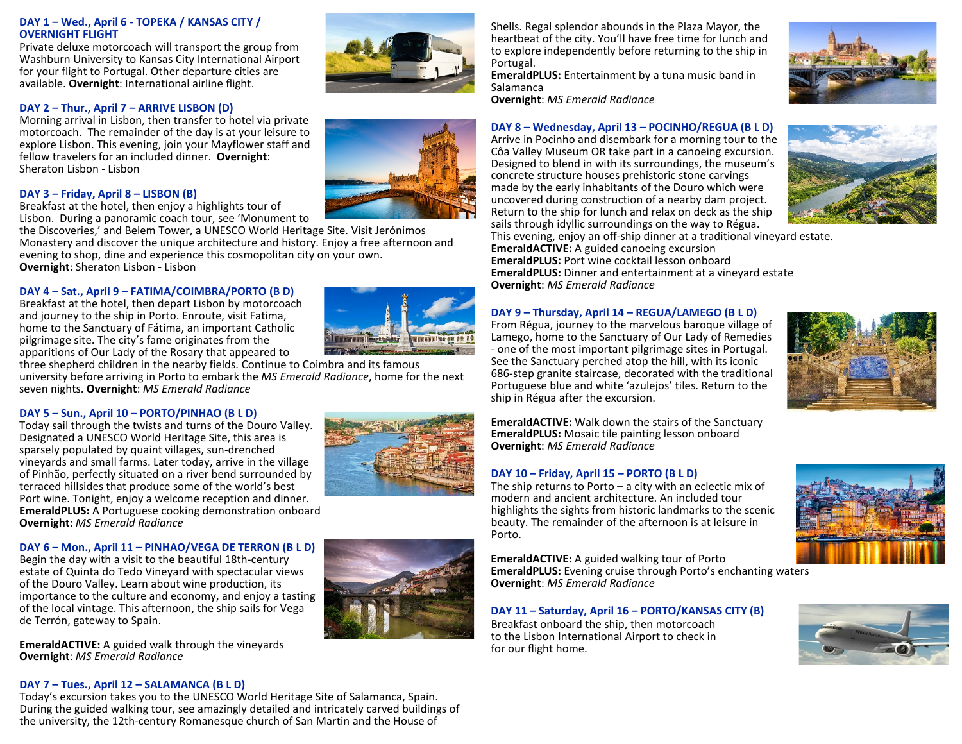### **DAY 1 – Wed., April 6 - TOPEKA / KANSAS CITY / OVERNIGHT FLIGHT**

Private deluxe motorcoach will transport the group from Washburn University to Kansas City International Airport for your flight to Portugal. Other departure cities are available. **Overnight**: International airline flight.

### **DAY 2 – Thur., April 7 – ARRIVE LISBON (D)**

Morning arrival in Lisbon, then transfer to hotel via private motorcoach. The remainder of the day is at your leisure to explore Lisbon. This evening, join your Mayflower staff and fellow travelers for an included dinner. **Overnight**: Sheraton Lisbon - Lisbon

### **DAY 3 – Friday, April 8 – LISBON (B)**

Breakfast at the hotel, then enjoy a highlights tour of Lisbon. During a panoramic coach tour, see 'Monument to

the Discoveries,' and Belem Tower, a UNESCO World Heritage Site. Visit Jerónimos Monastery and discover the unique architecture and history. Enjoy a free afternoon and evening to shop, dine and experience this cosmopolitan city on your own. **Overnight**: Sheraton Lisbon - Lisbon

### **DAY 4 – Sat., April 9 – FATIMA/COIMBRA/PORTO (B D)**

Breakfast at the hotel, then depart Lisbon by motorcoach and journey to the ship in Porto. Enroute, visit Fatima, home to the Sanctuary of Fátima, an important Catholic pilgrimage site. The city's fame originates from the apparitions of Our Lady of the Rosary that appeared to

three shepherd children in the nearby fields. Continue to Coimbra and its famous university before arriving in Porto to embark the *MS Emerald Radiance*, home for the next seven nights. **Overnight**: *MS Emerald Radiance*

### **DAY 5 – Sun., April 10 – PORTO/PINHAO (B L D)**

Today sail through the twists and turns of the Douro Valley. Designated a UNESCO World Heritage Site, this area is sparsely populated by quaint villages, sun-drenched vineyards and small farms. Later today, arrive in the village of Pinhão, perfectly situated on a river bend surrounded by terraced hillsides that produce some of the world's best Port wine. Tonight, enjoy a welcome reception and dinner. **EmeraldPLUS:** A Portuguese cooking demonstration onboard **Overnight**: *MS Emerald Radiance*

### **DAY 6 – Mon., April 11 – PINHAO/VEGA DE TERRON (B L D)**

Begin the day with a visit to the beautiful 18th-century estate of Quinta do Tedo Vineyard with spectacular views of the Douro Valley. Learn about wine production, its importance to the culture and economy, and enjoy a tasting of the local vintage. This afternoon, the ship sails for Vega de Terrón, gateway to Spain.

**EmeraldACTIVE:** A guided walk through the vineyards **Overnight**: *MS Emerald Radiance*

### **DAY 7 – Tues., April 12 – SALAMANCA (B L D)**

Today's excursion takes you to the UNESCO World Heritage Site of Salamanca, Spain. During the guided walking tour, see amazingly detailed and intricately carved buildings of the university, the 12th-century Romanesque church of San Martin and the House of

Shells. Regal splendor abounds in the Plaza Mayor, the heartbeat of the city. You'll have free time for lunch and to explore independently before returning to the ship in Portugal.

**EmeraldPLUS:** Entertainment by a tuna music band in Salamanca

**Overnight**: *MS Emerald Radiance*

### **DAY 8 – Wednesday, April 13 – POCINHO/REGUA (B L D)**

Arrive in Pocinho and disembark for a morning tour to the Côa Valley Museum OR take part in a canoeing excursion. Designed to blend in with its surroundings, the museum's concrete structure houses prehistoric stone carvings made by the early inhabitants of the Douro which were uncovered during construction of a nearby dam project. Return to the ship for lunch and relax on deck as the ship sails through idyllic surroundings on the way to Régua.



This evening, enjoy an off-ship dinner at a traditional vineyard estate. **EmeraldACTIVE:** A guided canoeing excursion **EmeraldPLUS:** Port wine cocktail lesson onboard **EmeraldPLUS:** Dinner and entertainment at a vineyard estate **Overnight**: *MS Emerald Radiance*

### **DAY 9 – Thursday, April 14 – REGUA/LAMEGO (B L D)**

From Régua, journey to the marvelous baroque village of Lamego, home to the Sanctuary of Our Lady of Remedies - one of the most important pilgrimage sites in Portugal. See the Sanctuary perched atop the hill, with its iconic 686-step granite staircase, decorated with the traditional Portuguese blue and white 'azulejos' tiles. Return to the ship in Régua after the excursion.



**EmeraldACTIVE:** Walk down the stairs of the Sanctuary **EmeraldPLUS:** Mosaic tile painting lesson onboard **Overnight**: *MS Emerald Radiance*

### **DAY 10 – Friday, April 15 – PORTO (B L D)**

The ship returns to Porto  $-$  a city with an eclectic mix of modern and ancient architecture. An included tour highlights the sights from historic landmarks to the scenic beauty. The remainder of the afternoon is at leisure in Porto.

**EmeraldACTIVE:** A guided walking tour of Porto **EmeraldPLUS:** Evening cruise through Porto's enchanting waters **Overnight**: *MS Emerald Radiance*

### **DAY 11 – Saturday, April 16 – PORTO/KANSAS CITY (B)**

Breakfast onboard the ship, then motorcoach to the Lisbon International Airport to check in for our flight home.